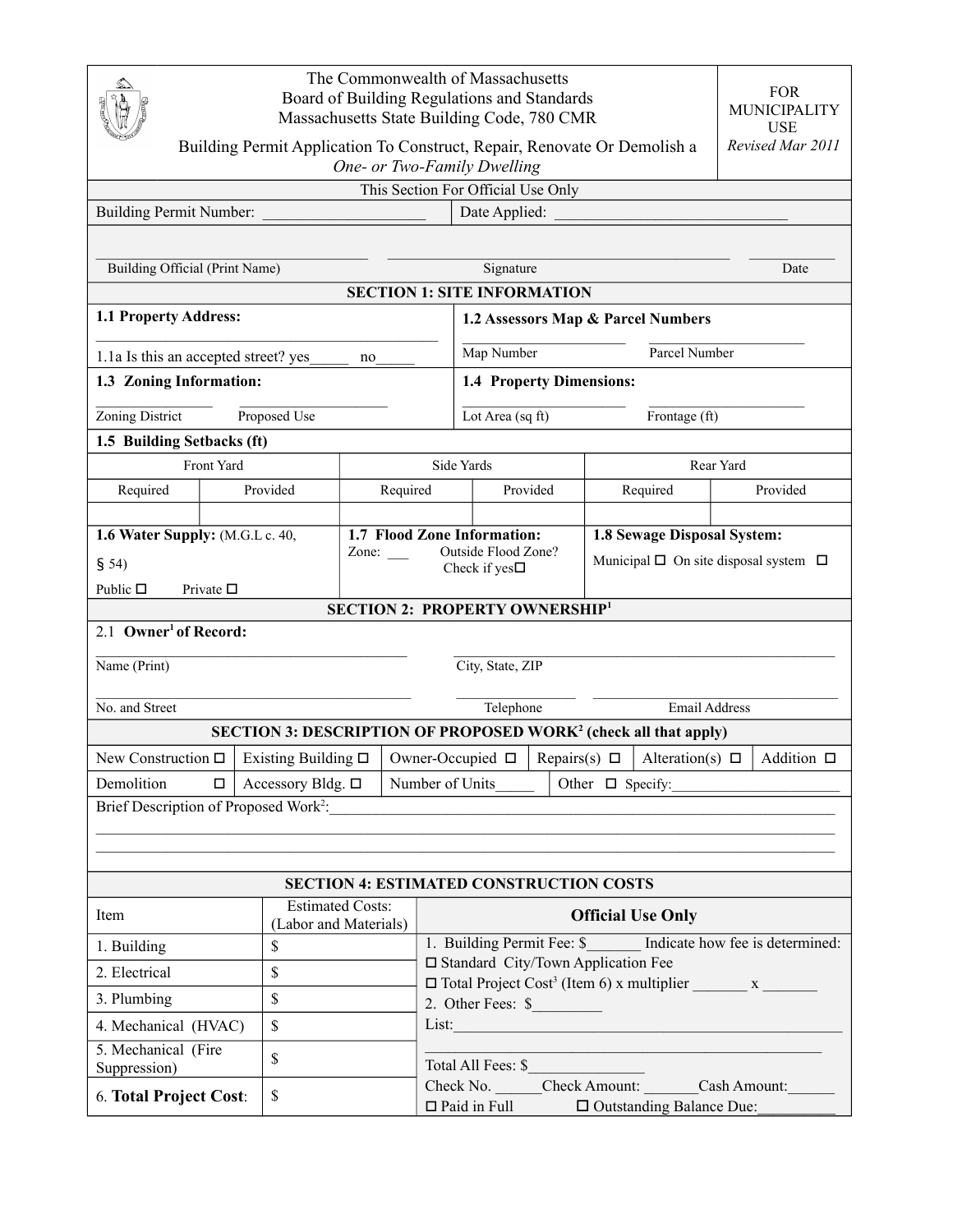| The Commonwealth of Massachusetts<br>Board of Building Regulations and Standards<br>Massachusetts State Building Code, 780 CMR |                                                  |                                                                                                                     |                                                                                                               |                                                    |                 |                                                 | <b>FOR</b><br>MUNICIPALITY<br><b>USE</b> |                                      |  |
|--------------------------------------------------------------------------------------------------------------------------------|--------------------------------------------------|---------------------------------------------------------------------------------------------------------------------|---------------------------------------------------------------------------------------------------------------|----------------------------------------------------|-----------------|-------------------------------------------------|------------------------------------------|--------------------------------------|--|
| Revised Mar 2011<br>Building Permit Application To Construct, Repair, Renovate Or Demolish a<br>One- or Two-Family Dwelling    |                                                  |                                                                                                                     |                                                                                                               |                                                    |                 |                                                 |                                          |                                      |  |
|                                                                                                                                | This Section For Official Use Only               |                                                                                                                     |                                                                                                               |                                                    |                 |                                                 |                                          |                                      |  |
| Building Permit Number:                                                                                                        |                                                  |                                                                                                                     | Date Applied:                                                                                                 |                                                    |                 |                                                 |                                          |                                      |  |
|                                                                                                                                |                                                  |                                                                                                                     |                                                                                                               |                                                    |                 |                                                 |                                          |                                      |  |
| Building Official (Print Name)                                                                                                 |                                                  |                                                                                                                     | Signature<br>Date                                                                                             |                                                    |                 |                                                 |                                          |                                      |  |
| <b>SECTION 1: SITE INFORMATION</b>                                                                                             |                                                  |                                                                                                                     |                                                                                                               |                                                    |                 |                                                 |                                          |                                      |  |
| 1.1 Property Address:                                                                                                          |                                                  |                                                                                                                     |                                                                                                               | 1.2 Assessors Map & Parcel Numbers                 |                 |                                                 |                                          |                                      |  |
| 1.1a Is this an accepted street? yes                                                                                           | Map Number<br>no                                 |                                                                                                                     |                                                                                                               |                                                    |                 | Parcel Number                                   |                                          |                                      |  |
| 1.3 Zoning Information:                                                                                                        |                                                  |                                                                                                                     | 1.4 Property Dimensions:                                                                                      |                                                    |                 |                                                 |                                          |                                      |  |
| Zoning District<br>Proposed Use                                                                                                |                                                  |                                                                                                                     | Lot Area (sq ft)                                                                                              |                                                    | Frontage $(ft)$ |                                                 |                                          |                                      |  |
| 1.5 Building Setbacks (ft)                                                                                                     |                                                  |                                                                                                                     |                                                                                                               |                                                    |                 |                                                 |                                          |                                      |  |
| Front Yard                                                                                                                     |                                                  |                                                                                                                     | Side Yards                                                                                                    |                                                    |                 |                                                 |                                          | Rear Yard                            |  |
| Required                                                                                                                       | Provided                                         | Required                                                                                                            | Provided                                                                                                      |                                                    |                 | Required                                        |                                          | Provided                             |  |
|                                                                                                                                |                                                  |                                                                                                                     |                                                                                                               |                                                    |                 |                                                 |                                          |                                      |  |
| 1.6 Water Supply: (M.G.L c. 40,                                                                                                |                                                  |                                                                                                                     | 1.7 Flood Zone Information:                                                                                   |                                                    |                 | 1.8 Sewage Disposal System:                     |                                          |                                      |  |
| \$54)                                                                                                                          | Zone: $\_\_$                                     |                                                                                                                     | Check if yes $\Box$                                                                                           | Outside Flood Zone?                                |                 | Municipal $\Box$ On site disposal system $\Box$ |                                          |                                      |  |
| Public $\Box$<br>Private $\square$                                                                                             |                                                  |                                                                                                                     |                                                                                                               |                                                    |                 |                                                 |                                          |                                      |  |
| <b>SECTION 2: PROPERTY OWNERSHIP1</b>                                                                                          |                                                  |                                                                                                                     |                                                                                                               |                                                    |                 |                                                 |                                          |                                      |  |
| 2.1 Owner <sup>1</sup> of Record:                                                                                              |                                                  |                                                                                                                     |                                                                                                               |                                                    |                 |                                                 |                                          |                                      |  |
| Name (Print)                                                                                                                   |                                                  |                                                                                                                     | City, State, ZIP                                                                                              |                                                    |                 |                                                 |                                          |                                      |  |
|                                                                                                                                |                                                  |                                                                                                                     |                                                                                                               |                                                    |                 |                                                 |                                          |                                      |  |
| No. and Street                                                                                                                 |                                                  |                                                                                                                     | Telephone                                                                                                     |                                                    |                 |                                                 |                                          | <b>Email Address</b>                 |  |
|                                                                                                                                |                                                  |                                                                                                                     | <b>SECTION 3: DESCRIPTION OF PROPOSED WORK<sup>2</sup> (check all that apply)</b>                             |                                                    |                 |                                                 |                                          |                                      |  |
|                                                                                                                                |                                                  | New Construction $\Box$ Existing Building $\Box$   Owner-Occupied $\Box$   Repairs(s) $\Box$   Alteration(s) $\Box$ |                                                                                                               |                                                    |                 |                                                 |                                          | Addition $\Box$                      |  |
| Demolition                                                                                                                     | $\Box$   Accessory Bldg. $\Box$                  |                                                                                                                     | Number of Units                                                                                               |                                                    |                 | Other $\Box$ Specify:                           |                                          |                                      |  |
|                                                                                                                                |                                                  |                                                                                                                     |                                                                                                               |                                                    |                 |                                                 |                                          |                                      |  |
|                                                                                                                                |                                                  |                                                                                                                     |                                                                                                               |                                                    |                 |                                                 |                                          |                                      |  |
|                                                                                                                                |                                                  |                                                                                                                     |                                                                                                               |                                                    |                 |                                                 |                                          |                                      |  |
| <b>SECTION 4: ESTIMATED CONSTRUCTION COSTS</b>                                                                                 |                                                  |                                                                                                                     |                                                                                                               |                                                    |                 |                                                 |                                          |                                      |  |
| Item                                                                                                                           | <b>Estimated Costs:</b><br>(Labor and Materials) |                                                                                                                     |                                                                                                               | <b>Official Use Only</b>                           |                 |                                                 |                                          |                                      |  |
| \$<br>1. Building                                                                                                              |                                                  |                                                                                                                     | 1. Building Permit Fee: \$ Indicate how fee is determined:                                                    |                                                    |                 |                                                 |                                          |                                      |  |
| \$<br>2. Electrical                                                                                                            |                                                  |                                                                                                                     | □ Standard City/Town Application Fee<br>$\Box$ Total Project Cost <sup>3</sup> (Item 6) x multiplier $\Box$ x |                                                    |                 |                                                 |                                          |                                      |  |
| \$<br>3. Plumbing                                                                                                              |                                                  |                                                                                                                     | 2. Other Fees: \$                                                                                             |                                                    |                 |                                                 |                                          |                                      |  |
| 4. Mechanical (HVAC)                                                                                                           | \$                                               |                                                                                                                     |                                                                                                               | List: <u>www.communications.communications.com</u> |                 |                                                 |                                          |                                      |  |
| 5. Mechanical (Fire<br>Suppression)                                                                                            | \$                                               |                                                                                                                     | Total All Fees: \$                                                                                            |                                                    |                 |                                                 |                                          |                                      |  |
| 6. Total Project Cost:                                                                                                         | \$                                               |                                                                                                                     | $\Box$ Paid in Full                                                                                           |                                                    |                 |                                                 | $\Box$ Outstanding Balance Due:          | Check No. Check Amount: Cash Amount: |  |